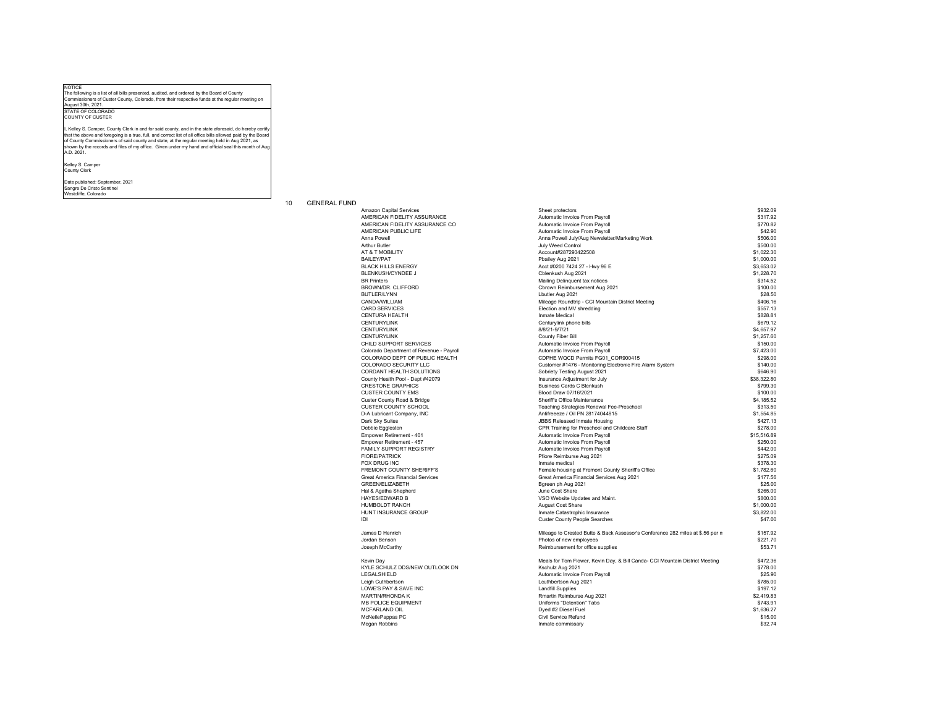NOTICE The following is a list of all bills presented, audited, and ordered by the Board of County Commissioners of Custer County, Colorado, from their respective funds at the regular meeting on

August 30th, 2021. STATE OF COLORADOCOUNTY OF CUSTER

I, Kelley S. Camper, County Clerk in and for said county, and in the state aforesaid, do hereby certif that the above and foregoing is a true, full, and correct list of all office bills allowed paid by the Board<br>of County Commissioners of said county and state, at the regular meeting held in Aug 2021, as<br>shown by the record A.D. 2021.

Kelley S. Camper County Clerk

Date published: September, 2021 Sangre De Cristo Sentinel Westcliffe, Colorado

## 10 GENERAL FUND

Custer County Road & Bridge IDI

| Amazon Capital Services                  | Sheet protectors                                                               | \$932.09    |
|------------------------------------------|--------------------------------------------------------------------------------|-------------|
| AMERICAN FIDELITY ASSURANCE              | Automatic Invoice From Payroll                                                 | \$317.92    |
| AMERICAN FIDELITY ASSURANCE CO           | Automatic Invoice From Payroll                                                 | \$770.82    |
| AMERICAN PUBLIC LIFE                     | Automatic Invoice From Payroll                                                 | \$42.90     |
| Anna Powell                              | Anna Powell July/Aug Newsletter/Marketing Work                                 | \$506.00    |
| <b>Arthur Butler</b>                     | July Weed Control                                                              | \$500.00    |
|                                          |                                                                                | \$1,022.30  |
| AT & T MOBILITY                          | Account#287293422508                                                           |             |
| <b>BAILEY/PAT</b>                        | Pbailey Aug 2021                                                               | \$1,000.00  |
| <b>BLACK HILLS ENERGY</b>                | Acct #0200 7424 27 - Hwy 96 E                                                  | \$3,653.02  |
| <b>BLENKUSH/CYNDEE J</b>                 | Cblenkush Aug 2021                                                             | \$1,228.70  |
| <b>BR</b> Printers                       | Mailing Delinquent tax notices                                                 | \$314.52    |
| BROWN/DR. CLIFFORD                       | Cbrown Reimbursement Aug 2021                                                  | \$100.00    |
| <b>BUTLER/LYNN</b>                       | Lbutler Aug 2021                                                               | \$28.50     |
| CANDA/WILLIAM                            | Mileage Roundtrip - CCI Mountain District Meeting                              | \$406.16    |
|                                          |                                                                                |             |
| <b>CARD SERVICES</b>                     | Election and MV shredding                                                      | \$557.13    |
| <b>CENTURA HEALTH</b>                    | Inmate Medical                                                                 | \$828.81    |
| <b>CENTURYLINK</b>                       | Centurylink phone bills                                                        | \$679.12    |
| <b>CENTURYLINK</b>                       | 8/8/21-9/7/21                                                                  | \$4,657.97  |
| <b>CENTURYLINK</b>                       | County Fiber Bill                                                              | \$1,257.60  |
| CHILD SUPPORT SERVICES                   | Automatic Invoice From Payroll                                                 | \$150.00    |
| Colorado Department of Revenue - Payroll | Automatic Invoice From Payroll                                                 | \$7,423.00  |
| COLORADO DEPT OF PUBLIC HEALTH           | CDPHE WQCD Permits FG01 COR900415                                              | \$298.00    |
|                                          |                                                                                |             |
| <b>COLORADO SECURITY LLC</b>             | Customer #1476 - Monitoring Electronic Fire Alarm System                       | \$140.00    |
| CORDANT HEALTH SOLUTIONS                 | Sobriety Testing August 2021                                                   | \$646.90    |
| County Health Pool - Dept #42079         | Insurance Adjustment for July                                                  | \$38,322.80 |
| <b>CRESTONE GRAPHICS</b>                 | <b>Business Cards C Blenkush</b>                                               | \$799.30    |
| <b>CUSTER COUNTY EMS</b>                 | Blood Draw 07/16/2021                                                          | \$100.00    |
| Custer County Road & Bridge              | Sheriff's Office Maintenance                                                   | \$4,185.52  |
| <b>CUSTER COUNTY SCHOOL</b>              | Teaching Strategies Renewal Fee-Preschool                                      | \$313.50    |
| D-A Lubricant Company, INC               | Antifreeeze / Oil PN 28174044815                                               | \$1,554.85  |
|                                          |                                                                                | \$427.13    |
| Dark Sky Suites                          | <b>JBBS Released Inmate Housing</b>                                            |             |
| Debbie Eggleston                         | CPR Training for Preschool and Childcare Staff                                 | \$278.00    |
| Empower Retirement - 401                 | Automatic Invoice From Payroll                                                 | \$15,516.89 |
| Empower Retirement - 457                 | Automatic Invoice From Payroll                                                 | \$250.00    |
| FAMILY SUPPORT REGISTRY                  | Automatic Invoice From Payroll                                                 | \$442.00    |
| <b>FIORE/PATRICK</b>                     | Pfiore Reimburse Aug 2021                                                      | \$275.09    |
| FOX DRUG INC                             | Inmate medical                                                                 | \$378.30    |
| <b>FREMONT COUNTY SHERIFF'S</b>          | Female housing at Fremont County Sheriff's Office                              | \$1,782.60  |
| <b>Great America Financial Services</b>  | Great America Financial Services Aug 2021                                      | \$177.56    |
|                                          |                                                                                |             |
| GREEN/ELIZABETH                          | Bgreen ph Aug 2021                                                             | \$25.00     |
| Hal & Agatha Shepherd                    | June Cost Share                                                                | \$265.00    |
| <b>HAYES/EDWARD B</b>                    | VSO Website Updates and Maint.                                                 | \$800.00    |
| <b>HUMBOLDT RANCH</b>                    | <b>August Cost Share</b>                                                       | \$1,000.00  |
| HUNT INSURANCE GROUP                     | Inmate Catastrophic Insurance                                                  | \$3,822.00  |
| IDI                                      | <b>Custer County People Searches</b>                                           | \$47.00     |
| James D Henrich                          | Mileage to Crested Butte & Back Assessor's Conference 282 miles at \$.56 per n | \$157.92    |
|                                          | Photos of new employees                                                        | \$221.70    |
| Jordan Benson                            |                                                                                |             |
| Joseph McCarthy                          | Reimbursement for office supplies                                              | \$53.71     |
| Kevin Day                                | Meals for Tom Flower, Kevin Day, & Bill Canda- CCI Mountain District Meeting   | \$472.36    |
| KYLE SCHULZ DDS/NEW OUTLOOK DN           | Kschulz Aug 2021                                                               | \$778.00    |
| LEGALSHIELD                              | Automatic Invoice From Payroll                                                 | \$25.90     |
| Leigh Cuthbertson                        | Lcuthbertson Aug 2021                                                          | \$785.00    |
| LOWE'S PAY & SAVE INC                    | <b>Landfill Supplies</b>                                                       | \$197.12    |
| <b>MARTIN/RHONDA K</b>                   | Rmartin Reimburse Aug 2021                                                     | \$2,419.83  |
|                                          |                                                                                |             |
| <b>MB POLICE EQUIPMENT</b>               | Uniforms "Detention" Tabs                                                      | \$743.91    |
| MCFARLAND OIL                            | Dyed #2 Diesel Fuel                                                            | \$1,636.27  |
| McNeilePappas PC                         | Civil Service Refund                                                           | \$15.00     |
| Megan Robbins                            | Inmate commissary                                                              | \$32.74     |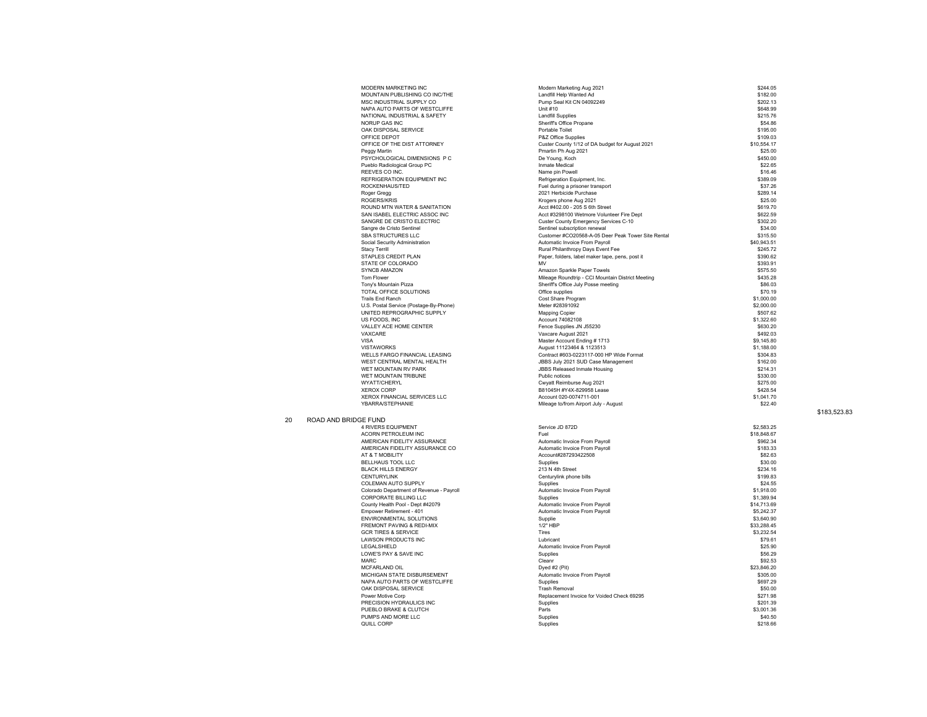|    |                      | MODERN MARKETING INC                                          |
|----|----------------------|---------------------------------------------------------------|
|    |                      | MOUNTAIN PUBLISHING CO INC/THE                                |
|    |                      | MSC INDUSTRIAL SUPPLY CO                                      |
|    |                      | NAPA AUTO PARTS OF WESTCLIFFE<br>NATIONAL INDUSTRIAL & SAFETY |
|    |                      | NORUP GAS INC                                                 |
|    |                      | OAK DISPOSAL SERVICE                                          |
|    |                      | OFFICE DEPOT                                                  |
|    |                      | OFFICE OF THE DIST ATTORNEY                                   |
|    |                      | Peggy Martin                                                  |
|    |                      | PSYCHOLOGICAL DIMENSIONS P C                                  |
|    |                      | Pueblo Radiological Group PC                                  |
|    |                      | REEVES CO INC.                                                |
|    |                      | REFRIGERATION EQUIPMENT INC                                   |
|    |                      | ROCKENHAUS/TED<br>Roger Gregg                                 |
|    |                      | <b>ROGERS/KRIS</b>                                            |
|    |                      | ROUND MTN WATER & SANITATION                                  |
|    |                      | SAN ISABEL ELECTRIC ASSOC INC                                 |
|    |                      | SANGRE DE CRISTO ELECTRIC                                     |
|    |                      | Sangre de Cristo Sentinel                                     |
|    |                      | SBA STRUCTURES LLC                                            |
|    |                      | Social Security Administration                                |
|    |                      | <b>Stacy Terrill</b>                                          |
|    |                      | STAPLES CREDIT PLAN                                           |
|    |                      | STATE OF COLORADO                                             |
|    |                      | SYNCB AMAZON<br>Tom Flower                                    |
|    |                      | Tony's Mountain Pizza                                         |
|    |                      | TOTAL OFFICE SOLUTIONS                                        |
|    |                      | <b>Trails End Ranch</b>                                       |
|    |                      | U.S. Postal Service (Postage-By-Phone)                        |
|    |                      | UNITED REPROGRAPHIC SUPPLY                                    |
|    |                      | US FOODS, INC                                                 |
|    |                      | VALLEY ACE HOME CENTER                                        |
|    |                      | VAXCARE                                                       |
|    |                      | VISA<br><b>VISTAWORKS</b>                                     |
|    |                      | <b>WELLS FARGO FINANCIAL LEASING</b>                          |
|    |                      | WEST CENTRAL MENTAL HEALTH                                    |
|    |                      | WET MOUNTAIN RV PARK                                          |
|    |                      | WET MOUNTAIN TRIBUNE                                          |
|    |                      | WYATT/CHERYL                                                  |
|    |                      | <b>XEROX CORP</b>                                             |
|    |                      | XEROX FINANCIAL SERVICES LLC                                  |
|    |                      | YBARRA/STEPHANIE                                              |
|    |                      |                                                               |
| 20 | ROAD AND BRIDGE FUND |                                                               |
|    |                      | <b>4 RIVERS EQUIPMENT</b>                                     |
|    |                      | ACORN PETROLEUM INC<br>AMERICAN FIDELITY ASSURANCE            |
|    |                      | AMERICAN FIDELITY ASSURANCE CO                                |
|    |                      | AT & T MOBILITY                                               |
|    |                      | <b>BELLHAUS TOOL LLC</b>                                      |
|    |                      | <b>BLACK HILLS ENERGY</b>                                     |
|    |                      | <b>CENTURYLINK</b>                                            |
|    |                      | COLEMAN AUTO SUPPLY                                           |
|    |                      | Colorado Department of Revenue - Payroll                      |
|    |                      | CORPORATE BILLING LLC                                         |
|    |                      | County Health Pool - Dept #42079<br>Empower Retirement - 401  |
|    |                      | ENVIRONMENTAL SOLUTIONS                                       |
|    |                      | FREMONT PAVING & REDI-MIX                                     |
|    |                      | <b>GCR TIRES &amp; SERVICE</b>                                |
|    |                      | <b>LAWSON PRODUCTS INC</b>                                    |
|    |                      | LEGALSHIELD                                                   |
|    |                      | LOWE'S PAY & SAVE INC                                         |
|    |                      | MARC                                                          |
|    |                      | MCFARLAND OIL<br>MICHIGAN STATE DISBURSEMENT                  |
|    |                      | NAPA AUTO PARTS OF WESTCLIFFE                                 |
|    |                      |                                                               |

| MODERN MARKETING INC                        | Modern Marketing Aug 2021                          | \$244.05             |
|---------------------------------------------|----------------------------------------------------|----------------------|
| MOUNTAIN PUBLISHING CO INC/THE              | Landfill Help Wanted Ad                            | \$182.00             |
| MSC INDUSTRIAL SUPPLY CO                    | Pump Seal Kit CN 04092249                          | \$202.13             |
| NAPA AUTO PARTS OF WESTCLIFFE               | Unit #10                                           | \$648.99             |
| NATIONAL INDUSTRIAL & SAFETY                | <b>Landfill Supplies</b>                           | \$215.76             |
| <b>NORUP GAS INC</b>                        | Sheriff's Office Propane                           | \$54.86              |
| OAK DISPOSAL SERVICE                        | Portable Toilet                                    | \$195.00             |
| OFFICE DEPOT                                | P&Z Office Supplies                                | \$109.03             |
| OFFICE OF THE DIST ATTORNEY                 | Custer County 1/12 of DA budget for August 2021    | \$10,554.17          |
| Peggy Martin                                | Pmartin Ph Aug 2021                                | \$25.00              |
| PSYCHOLOGICAL DIMENSIONS P C                | De Young, Koch                                     | \$450.00             |
| Pueblo Radiological Group PC                | Inmate Medical                                     | \$22.65              |
| REFVES CO INC.                              | Name pin Powell                                    | \$16.46              |
| REFRIGERATION EQUIPMENT INC                 | Refrigeration Equipment, Inc.                      | \$389.09             |
| ROCKENHAUS/TED                              | Fuel during a prisoner transport                   | \$37.26              |
| Roger Gregg                                 | 2021 Herbicide Purchase                            | \$289.14             |
| ROGERS/KRIS                                 | Krogers phone Aug 2021                             | \$25.00              |
| ROUND MTN WATER & SANITATION                | Acct #402.00 - 205 S 6th Street                    | \$619.70             |
| SAN ISABEL ELECTRIC ASSOC INC               | Acct #3298100 Wetmore Volunteer Fire Dept          | \$622.59             |
| SANGRE DE CRISTO ELECTRIC                   | Custer County Emergency Services C-10              | \$302.20             |
| Sangre de Cristo Sentinel                   | Sentinel subscription renewal                      | \$34.00              |
| SBA STRUCTURES LLC                          | Customer #CO20568-A-05 Deer Peak Tower Site Rental | \$315.50             |
| Social Security Administration              | Automatic Invoice From Payroll                     | \$40,943.51          |
| Stacy Terrill                               | Rural Philanthropy Days Event Fee                  | \$245.72             |
| STAPLES CREDIT PLAN                         | Paper, folders, label maker tape, pens, post it    | \$390.62             |
| STATE OF COLORADO                           | <b>MV</b>                                          | \$393.91             |
| <b>SYNCB AMAZON</b>                         | Amazon Sparkle Paper Towels                        | \$575.50             |
| Tom Flower                                  | Mileage Roundtrip - CCI Mountain District Meeting  | \$435.28             |
| Tony's Mountain Pizza                       | Sheriff's Office July Posse meeting                | \$86.03              |
| TOTAL OFFICE SOLUTIONS                      | Office supplies                                    | \$70.19              |
| Trails End Ranch                            | Cost Share Program                                 | \$1,000.00           |
| U.S. Postal Service (Postage-By-Phone)      | Meter #28391092                                    | \$2,000.00           |
| UNITED REPROGRAPHIC SUPPLY                  | <b>Mapping Copier</b>                              | \$507.62             |
| <b>US FOODS INC</b>                         | Account 74082108                                   | \$1,322.60           |
| VALLEY ACE HOME CENTER                      | Fence Supplies JN J55230                           | \$630.20             |
| VAXCARE                                     | Vaxcare August 2021                                | \$492.03             |
| VISA                                        | Master Account Ending # 1713                       | \$9,145.80           |
| VISTAWORKS                                  | August 11123464 & 1123513                          | \$1,188.00           |
| WELLS FARGO FINANCIAL LEASING               | Contract #603-0223117-000 HP Wide Format           | \$304.83             |
| WEST CENTRAL MENTAL HEALTH                  | JBBS July 2021 SUD Case Management                 | \$162.00             |
| WET MOUNTAIN RV PARK                        | <b>JBBS Released Inmate Housing</b>                | \$214.31             |
|                                             |                                                    |                      |
| WET MOUNTAIN TRIBUNE<br><b>WYATT/CHERYL</b> | Public notices                                     | \$330.00<br>\$275.00 |
|                                             | Cwyatt Reimburse Aug 2021                          |                      |
| <b>XEROX CORP</b>                           | B81045H #Y4X-829958 Lease                          | \$428.54             |
| XEROX FINANCIAL SERVICES LLC                | Account 020-0074711-001                            | \$1,041.70           |
| YBARRA/STEPHANIE                            | Mileage to/from Airport July - August              | \$22.40              |
| E FUND                                      |                                                    |                      |
| <b>4 RIVERS EQUIPMENT</b>                   | Service JD 872D                                    | \$2.583.25           |
| ACORN PETROLEUM INC                         | Fuel                                               | \$18,848.67          |
| AMERICAN FIDELITY ASSURANCE                 | Automatic Invoice From Payroll                     | \$962.34             |
|                                             |                                                    | \$183.33             |
| AMERICAN FIDELITY ASSURANCE CO              | Automatic Invoice From Payroll                     |                      |
| AT & T MOBILITY<br>BELLHAUS TOOL LLC        | Account#287293422508<br>Supplies                   | \$82.63<br>\$30.00   |
| <b>BLACK HILLS ENERGY</b>                   | 213 N 4th Street                                   | \$234.16             |
| CENTURYLINK                                 |                                                    |                      |
|                                             | Centurylink phone bills                            | \$199.83             |
| COLEMAN AUTO SUPPLY                         | Supplies                                           | \$24.55              |
| Colorado Department of Revenue - Payroll    | Automatic Invoice From Payroll                     | \$1,918.00           |
| CORPORATE BILLING LLC                       | Supplies                                           | \$1,389.94           |
| County Health Pool - Dept #42079            | Automatic Invoice From Payroll                     | \$14,713.69          |
| Empower Retirement - 401                    | Automatic Invoice From Payroll                     | \$5,242.37           |
| ENVIRONMENTAL SOLUTIONS                     | Supplie                                            | \$3,640.90           |
| FREMONT PAVING & REDI-MIX                   | 1/2" HBP                                           | \$33,288.45          |
| <b>GCR TIRES &amp; SERVICE</b>              | Tires                                              | \$3,232.54           |
| <b>LAWSON PRODUCTS INC</b>                  | Lubricant                                          | \$79.61              |
| LEGALSHIELD                                 | Automatic Invoice From Payroll                     | \$25.90              |
| LOWE'S PAY & SAVE INC                       | Supplies                                           | \$56.29              |
| MARC                                        | Cleanr                                             | \$92.53              |
| MCFARLAND OIL                               | Dyed #2 (Pit)                                      | \$23.846.20          |
| MICHIGAN STATE DISBURSEMENT                 | Automatic Invoice From Payroll                     | \$305.00             |
| NAPA AUTO PARTS OF WESTCLIFFE               | Supplies                                           | \$697.29             |
| OAK DISPOSAL SERVICE                        | <b>Trash Removal</b>                               | \$50.00              |
| Power Motive Corp                           | Replacement Invoice for Voided Check 69295         | \$271.98             |
| PRECISION HYDRAULICS INC                    | Supplies                                           | \$201.39             |
| PUEBLO BRAKE & CLUTCH                       | Parts                                              | \$3,001.36           |
| PUMPS AND MORE LLC                          | Supplies                                           | \$40.50              |
| QUILL CORP                                  | Supplies                                           | \$218.66             |

\$183,523.83